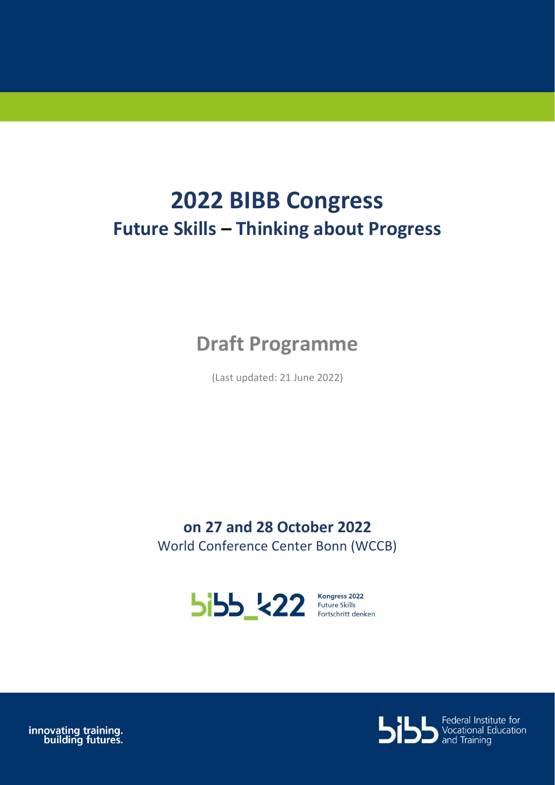# **2022 BIBB Congress Future Skills – Thinking about Progress**

## **Draft Programme**

(Last updated: 21 June 2022)

**on 27 and 28 October 2022** World Conference Center Bonn (WCCB)



innovating training.<br>building futures.

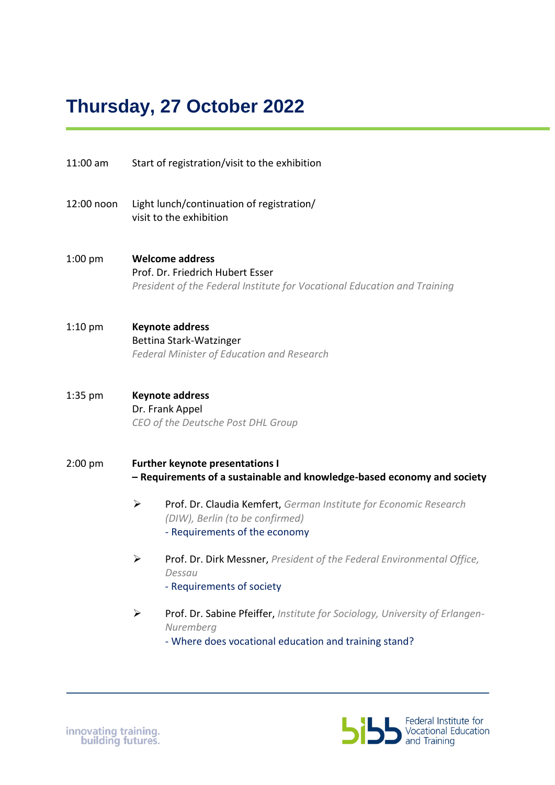### **Thursday, 27 October 2022**

- 11:00 am Start of registration/visit to the exhibition
- 12:00 noon Light lunch/continuation of registration/ visit to the exhibition
- 1:00 pm **Welcome address** Prof. Dr. Friedrich Hubert Esser *President of the Federal Institute for Vocational Education and Training*
- 1:10 pm **Keynote address** Bettina Stark-Watzinger *Federal Minister of Education and Research*
- 1:35 pm **Keynote address**  Dr. Frank Appel *CEO of the Deutsche Post DHL Group*
- 2:00 pm **Further keynote presentations I – Requirements of a sustainable and knowledge-based economy and society** 
	- ➢ Prof. Dr. Claudia Kemfert, *German Institute for Economic Research (DIW), Berlin (to be confirmed)* - Requirements of the economy
	- ➢ Prof. Dr. Dirk Messner, *President of the Federal Environmental Office, Dessau* - Requirements of society
	- ➢ Prof. Dr. Sabine Pfeiffer, *Institute for Sociology, University of Erlangen-Nuremberg*
		- Where does vocational education and training stand?

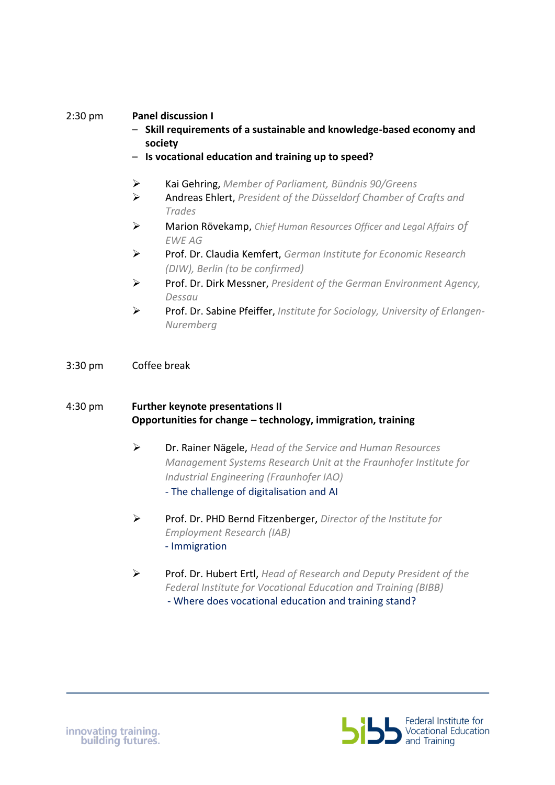#### 2:30 pm **Panel discussion I**

- **Skill requirements of a sustainable and knowledge-based economy and society**
- **Is vocational education and training up to speed?**
- ➢ Kai Gehring, *Member of Parliament, Bündnis 90/Greens*
- ➢ Andreas Ehlert, *President of the Düsseldorf Chamber of Crafts and Trades*
- ➢ Marion Rövekamp, *Chief Human Resources Officer and Legal Affairs of EWE AG*
- ➢ Prof. Dr. Claudia Kemfert, *German Institute for Economic Research (DIW), Berlin (to be confirmed)*
- ➢ Prof. Dr. Dirk Messner, *President of the German Environment Agency, Dessau*
- ➢ Prof. Dr. Sabine Pfeiffer, *Institute for Sociology, University of Erlangen-Nuremberg*
- 3:30 pm Coffee break

#### 4:30 pm **Further keynote presentations II Opportunities for change – technology, immigration, training**

- ➢ Dr. Rainer Nägele, *Head of the Service and Human Resources Management Systems Research Unit at the Fraunhofer Institute for Industrial Engineering (Fraunhofer IAO)*  - The challenge of digitalisation and AI
- ➢ Prof. Dr. PHD Bernd Fitzenberger, *Director of the Institute for Employment Research (IAB)* - Immigration
- ➢ Prof. Dr. Hubert Ertl, *Head of Research and Deputy President of the Federal Institute for Vocational Education and Training (BIBB)* - Where does vocational education and training stand?

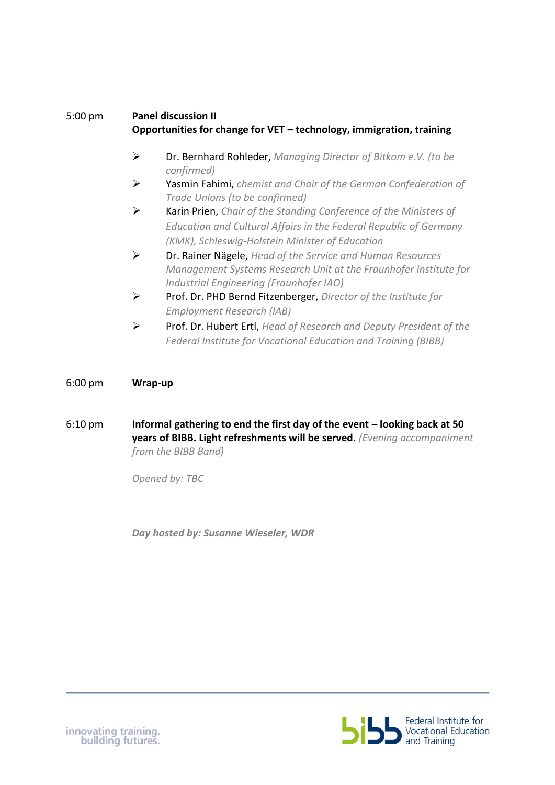#### 5:00 pm **Panel discussion II Opportunities for change for VET – technology, immigration, training**

- ➢ Dr. Bernhard Rohleder, *Managing Director of Bitkom e.V. (to be confirmed)*
- ➢ Yasmin Fahimi, *chemist and Chair of the German Confederation of Trade Unions (to be confirmed)*
- ➢ Karin Prien, *Chair of the Standing Conference of the Ministers of Education and Cultural Affairs in the Federal Republic of Germany (KMK), Schleswig-Holstein Minister of Education*
- ➢ Dr. Rainer Nägele, *Head of the Service and Human Resources Management Systems Research Unit at the Fraunhofer Institute for Industrial Engineering (Fraunhofer IAO)*
- ➢ Prof. Dr. PHD Bernd Fitzenberger, *Director of the Institute for Employment Research (IAB)*
- ➢ Prof. Dr. Hubert Ertl, *Head of Research and Deputy President of the Federal Institute for Vocational Education and Training (BIBB)*

6:00 pm **Wrap-up**

6:10 pm **Informal gathering to end the first day of the event – looking back at 50 years of BIBB. Light refreshments will be served.** *(Evening accompaniment from the BIBB Band)*

*Opened by: TBC*

*Day hosted by: Susanne Wieseler, WDR*

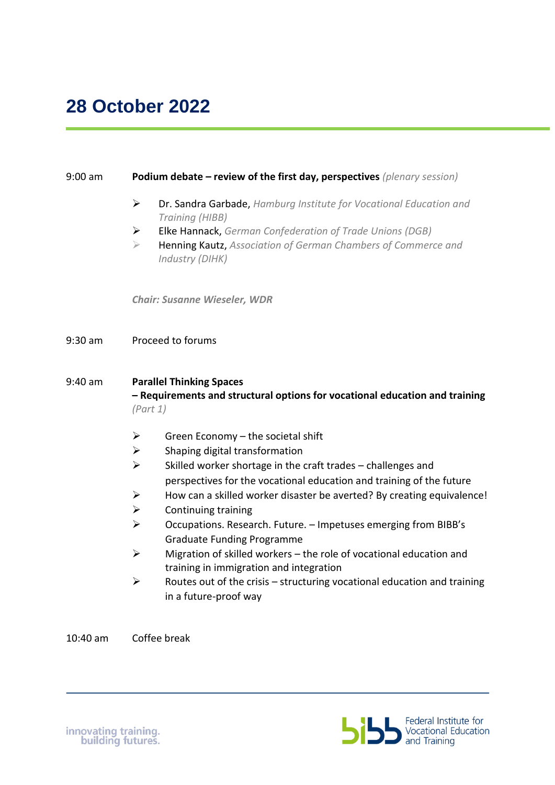### 9:00 am **Podium debate – review of the first day, perspectives** *(plenary session)* ➢ Dr. Sandra Garbade, *Hamburg Institute for Vocational Education and Training (HIBB)*  ➢ Elke Hannack, *German Confederation of Trade Unions (DGB)* ➢ Henning Kautz, *Association of German Chambers of Commerce and Industry (DIHK) Chair: Susanne Wieseler, WDR*  9:30 am Proceed to forums 9:40 am **Parallel Thinking Spaces – Requirements and structural options for vocational education and training**  *(Part 1)*  $\triangleright$  Green Economy – the societal shift  $\triangleright$  Shaping digital transformation  $\triangleright$  Skilled worker shortage in the craft trades – challenges and perspectives for the vocational education and training of the future  $\triangleright$  How can a skilled worker disaster be averted? By creating equivalence!  $\triangleright$  Continuing training ➢ Occupations. Research. Future. – Impetuses emerging from BIBB's Graduate Funding Programme  $\triangleright$  Migration of skilled workers – the role of vocational education and training in immigration and integration  $\triangleright$  Routes out of the crisis – structuring vocational education and training in a future-proof way

10:40 am Coffee break